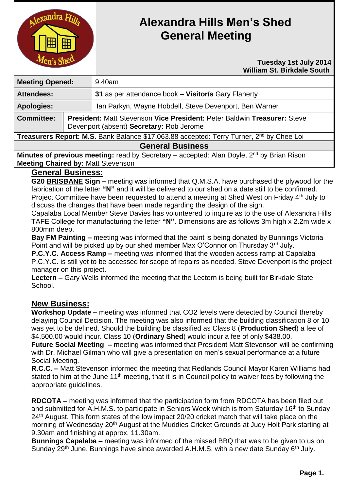

# **Alexandra Hills Men's Shed General Meeting**

#### **Tuesday 1st July 2014 William St. Birkdale South**

| <b>Meeting Opened:</b>                                                                               |                                                                                                                      | 9.40am                                                 |
|------------------------------------------------------------------------------------------------------|----------------------------------------------------------------------------------------------------------------------|--------------------------------------------------------|
| <b>Attendees:</b>                                                                                    |                                                                                                                      | 31 as per attendance book - Visitor/s Gary Flaherty    |
| <b>Apologies:</b>                                                                                    |                                                                                                                      | Ian Parkyn, Wayne Hobdell, Steve Devenport, Ben Warner |
| <b>Committee:</b>                                                                                    | President: Matt Stevenson Vice President: Peter Baldwin Treasurer: Steve<br>Devenport (absent) Secretary: Rob Jerome |                                                        |
| Treasurers Report: M.S. Bank Balance \$17,063.88 accepted: Terry Turner, 2 <sup>nd</sup> by Chee Loi |                                                                                                                      |                                                        |
| <b>General Business</b>                                                                              |                                                                                                                      |                                                        |

**Minutes of previous meeting:** read by Secretary – accepted: Alan Doyle, 2<sup>nd</sup> by Brian Rison **Meeting Chaired by:** Matt Stevenson

## **General Business:**

**G20 BRISBANE Sign –** meeting was informed that Q.M.S.A. have purchased the plywood for the fabrication of the letter **"N"** and it will be delivered to our shed on a date still to be confirmed. Project Committee have been requested to attend a meeting at Shed West on Friday 4<sup>th</sup> July to

discuss the changes that have been made regarding the design of the sign.

Capalaba Local Member Steve Davies has volunteered to inquire as to the use of Alexandra Hills TAFE College for manufacturing the letter **"N"**. Dimensions are as follows 3m high x 2.2m wide x 800mm deep.

**Bay FM Painting –** meeting was informed that the paint is being donated by Bunnings Victoria Point and will be picked up by our shed member Max O'Connor on Thursday 3rd July.

**P.C.Y.C. Access Ramp –** meeting was informed that the wooden access ramp at Capalaba P.C.Y.C. is still yet to be accessed for scope of repairs as needed. Steve Devenport is the project manager on this project.

**Lectern –** Gary Wells informed the meeting that the Lectern is being built for Birkdale State School.

## **New Business:**

**Workshop Update –** meeting was informed that CO2 levels were detected by Council thereby delaying Council Decision. The meeting was also informed that the building classification 8 or 10 was yet to be defined. Should the building be classified as Class 8 (**Production Shed**) a fee of \$4,500.00 would incur. Class 10 (**Ordinary Shed**) would incur a fee of only \$438.00.

**Future Social Meeting –** meeting was informed that President Matt Stevenson will be confirming with Dr. Michael Gilman who will give a presentation on men's sexual performance at a future Social Meeting.

**R.C.C. –** Matt Stevenson informed the meeting that Redlands Council Mayor Karen Williams had stated to him at the June 11<sup>th</sup> meeting, that it is in Council policy to waiver fees by following the appropriate guidelines.

**RDCOTA –** meeting was informed that the participation form from RDCOTA has been filed out and submitted for A.H.M.S. to participate in Seniors Week which is from Saturday 16<sup>th</sup> to Sunday 24<sup>th</sup> August. This form states of the low impact 20/20 cricket match that will take place on the morning of Wednesday 20<sup>th</sup> August at the Muddies Cricket Grounds at Judy Holt Park starting at 9.30am and finishing at approx. 11.30am.

**Bunnings Capalaba –** meeting was informed of the missed BBQ that was to be given to us on Sunday 29<sup>th</sup> June. Bunnings have since awarded A.H.M.S. with a new date Sunday 6<sup>th</sup> July.